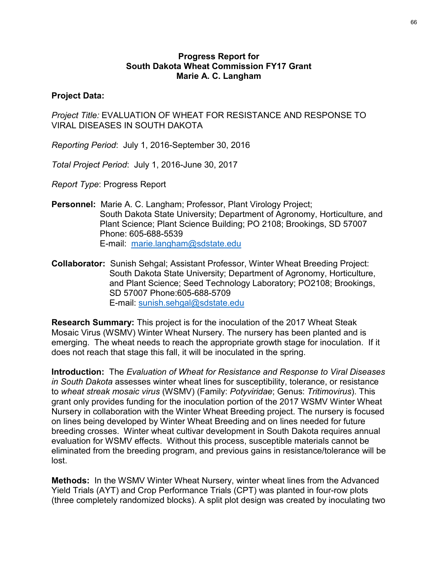## Progress Report for South Dakota Wheat Commission FY17 Grant Marie A. C. Langham

## Project Data:

Project Title: EVALUATION OF WHEAT FOR RESISTANCE AND RESPONSE TO VIRAL DISEASES IN SOUTH DAKOTA

Reporting Period: July 1, 2016-September 30, 2016

Total Project Period: July 1, 2016-June 30, 2017

Report Type: Progress Report

- Personnel: Marie A. C. Langham; Professor, Plant Virology Project; South Dakota State University; Department of Agronomy, Horticulture, and Progress Report for<br>
Marie A. C. Langham<br>
Ware A. C. Langham<br>
CEVALUATION OF WHEAT FOR RESISTANCE AND RESPONSE TO<br>
SES IN SOUTH DAKOTA<br>
Priod: July 1, 2016-September 30, 2016<br>
Period: July 1, 2016-September 30, 2016<br>
Perio Phone: 605-688-5539 E-mail: marie.langham@sdstate.edu Mospouring Period: July 1, 2016-0epteriner 30, 2017<br>
Moral Project Period: July 1, 2016-June 30, 2017<br>
Report Type: Progress Report<br>
Personnel: Marie A. C. Langham; Professor, Plant Virology Project;<br>
South Dakota State Un
- Collaborator: Sunish Sehgal; Assistant Professor, Winter Wheat Breeding Project: South Dakota State University; Department of Agronomy, Horticulture, and Plant Science; Seed Technology Laboratory; PO2108; Brookings, SD 57007 Phone:605-688-5709 E-mail: sunish.sehgal@sdstate.edu

Research Summary: This project is for the inoculation of the 2017 Wheat Steak emerging. The wheat needs to reach the appropriate growth stage for inoculation. If it does not reach that stage this fall, it will be inoculated in the spring.

Introduction: The Evaluation of Wheat for Resistance and Response to Viral Diseases in South Dakota assesses winter wheat lines for susceptibility, tolerance, or resistance to wheat streak mosaic virus (WSMV) (Family: Potyviridae; Genus: Tritimovirus). This grant only provides funding for the inoculation portion of the 2017 WSMV Winter Wheat Nursery in collaboration with the Winter Wheat Breeding project. The nursery is focused on lines being developed by Winter Wheat Breeding and on lines needed for future breeding crosses. Winter wheat cultivar development in South Dakota requires annual evaluation for WSMV effects. Without this process, susceptible materials cannot be eliminated from the breeding program, and previous gains in resistance/tolerance will be lost. Example 11 United Straingen and the 2017 Wheat Steak<br>
Mosaic Virus (WSMV) Winter Wheat Nursery. The nursery has been planted and is<br>
emerging. The wheat needs to reach the appropriate growth stage for inoculation. If it<br>
d Research Summary: This project is for the inoculation of the 2017 Wheat Steak Mossic Virus (WSMV) Winter Wheat Nuesery. The nursery has been planted and is emerging. The wheat needs to reach the appropriate growth stage fo

Methods: In the WSMV Winter Wheat Nursery, winter wheat lines from the Advanced